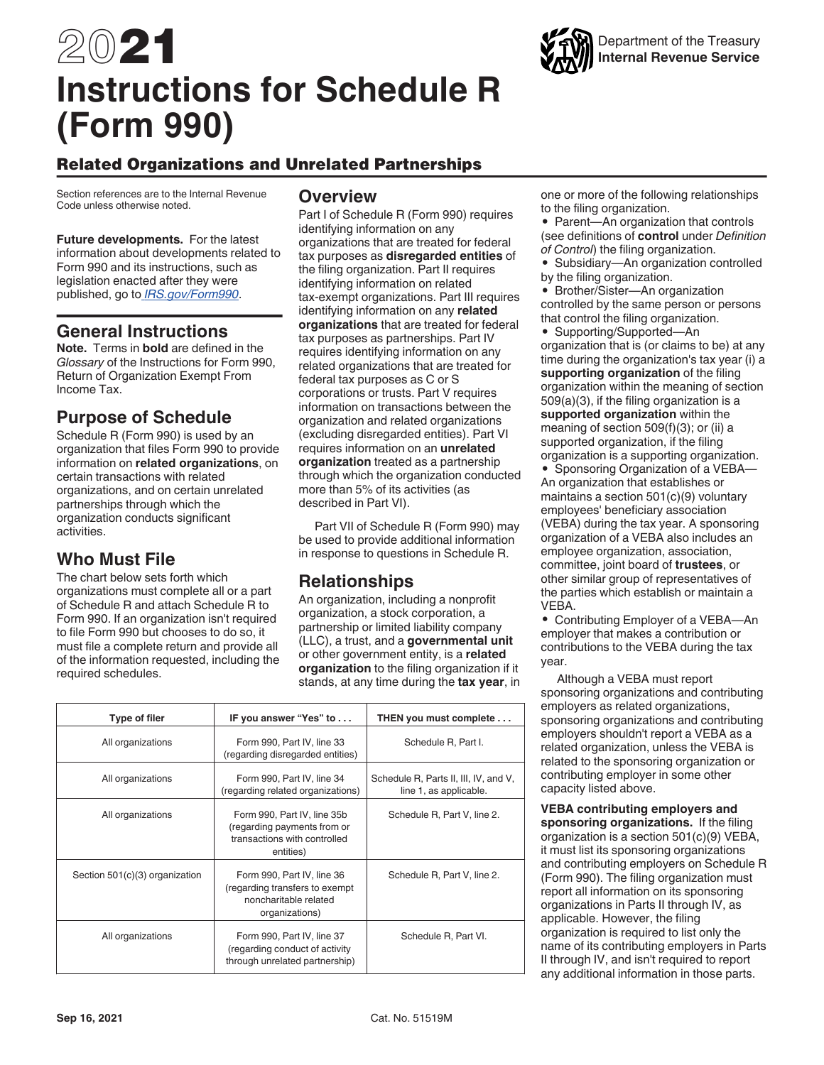

# Related Organizations and Unrelated Partnerships

Section references are to the Internal Revenue Code unless otherwise noted.

**Future developments.** For the latest information about developments related to Form 990 and its instructions, such as legislation enacted after they were published, go to *[IRS.gov/Form990](https://www.irs.gov/form990)*.

#### **General Instructions**

**Note.** Terms in **bold** are defined in the *Glossary* of the Instructions for Form 990, Return of Organization Exempt From Income Tax.

### **Purpose of Schedule**

Schedule R (Form 990) is used by an organization that files Form 990 to provide information on **related organizations**, on certain transactions with related organizations, and on certain unrelated partnerships through which the organization conducts significant activities.

# **Who Must File**

The chart below sets forth which organizations must complete all or a part of Schedule R and attach Schedule R to Form 990. If an organization isn't required to file Form 990 but chooses to do so, it must file a complete return and provide all of the information requested, including the required schedules.

#### **Overview**

Part I of Schedule R (Form 990) requires identifying information on any organizations that are treated for federal tax purposes as **disregarded entities** of the filing organization. Part II requires identifying information on related tax-exempt organizations. Part III requires identifying information on any **related organizations** that are treated for federal tax purposes as partnerships. Part IV requires identifying information on any related organizations that are treated for federal tax purposes as C or S corporations or trusts. Part V requires information on transactions between the organization and related organizations (excluding disregarded entities). Part VI requires information on an **unrelated organization** treated as a partnership through which the organization conducted more than 5% of its activities (as described in Part VI).

Part VII of Schedule R (Form 990) may be used to provide additional information in response to questions in Schedule R.

# **Relationships**

An organization, including a nonprofit organization, a stock corporation, a partnership or limited liability company (LLC), a trust, and a **governmental unit**  or other government entity, is a **related organization** to the filing organization if it stands, at any time during the **tax year**, in

| <b>Type of filer</b>           | IF you answer "Yes" to                                                                                   | THEN you must complete                                          |
|--------------------------------|----------------------------------------------------------------------------------------------------------|-----------------------------------------------------------------|
| All organizations              | Form 990, Part IV, line 33<br>(regarding disregarded entities)                                           | Schedule R, Part I.                                             |
| All organizations              | Form 990, Part IV, line 34<br>(regarding related organizations)                                          | Schedule R, Parts II, III, IV, and V,<br>line 1, as applicable. |
| All organizations              | Form 990, Part IV, line 35b<br>(regarding payments from or<br>transactions with controlled<br>entities)  | Schedule R, Part V, line 2.                                     |
| Section 501(c)(3) organization | Form 990, Part IV, line 36<br>(regarding transfers to exempt)<br>noncharitable related<br>organizations) | Schedule R, Part V, line 2.                                     |
| All organizations              | Form 990, Part IV, line 37<br>(regarding conduct of activity<br>through unrelated partnership)           | Schedule R, Part VI.                                            |

one or more of the following relationships to the filing organization.

• Parent—An organization that controls (see definitions of **control** under *Definition of Control*) the filing organization.

- Subsidiary—An organization controlled
- by the filing organization. • Brother/Sister—An organization

controlled by the same person or persons that control the filing organization.

- Supporting/Supported—An organization that is (or claims to be) at any time during the organization's tax year (i) a **supporting organization** of the filing organization within the meaning of section 509(a)(3), if the filing organization is a **supported organization** within the meaning of section 509(f)(3); or (ii) a supported organization, if the filing organization is a supporting organization.
- Sponsoring Organization of a VEBA— An organization that establishes or maintains a section 501(c)(9) voluntary employees' beneficiary association (VEBA) during the tax year. A sponsoring organization of a VEBA also includes an employee organization, association, committee, joint board of **trustees**, or other similar group of representatives of the parties which establish or maintain a **VEBA**

• Contributing Employer of a VEBA—An employer that makes a contribution or contributions to the VEBA during the tax year.

Although a VEBA must report sponsoring organizations and contributing employers as related organizations, sponsoring organizations and contributing employers shouldn't report a VEBA as a related organization, unless the VEBA is related to the sponsoring organization or contributing employer in some other capacity listed above.

**VEBA contributing employers and sponsoring organizations.** If the filing organization is a section 501(c)(9) VEBA, it must list its sponsoring organizations and contributing employers on Schedule R (Form 990). The filing organization must report all information on its sponsoring organizations in Parts II through IV, as applicable. However, the filing organization is required to list only the name of its contributing employers in Parts II through IV, and isn't required to report any additional information in those parts.

Department of the Treasury **Internal Revenue Service**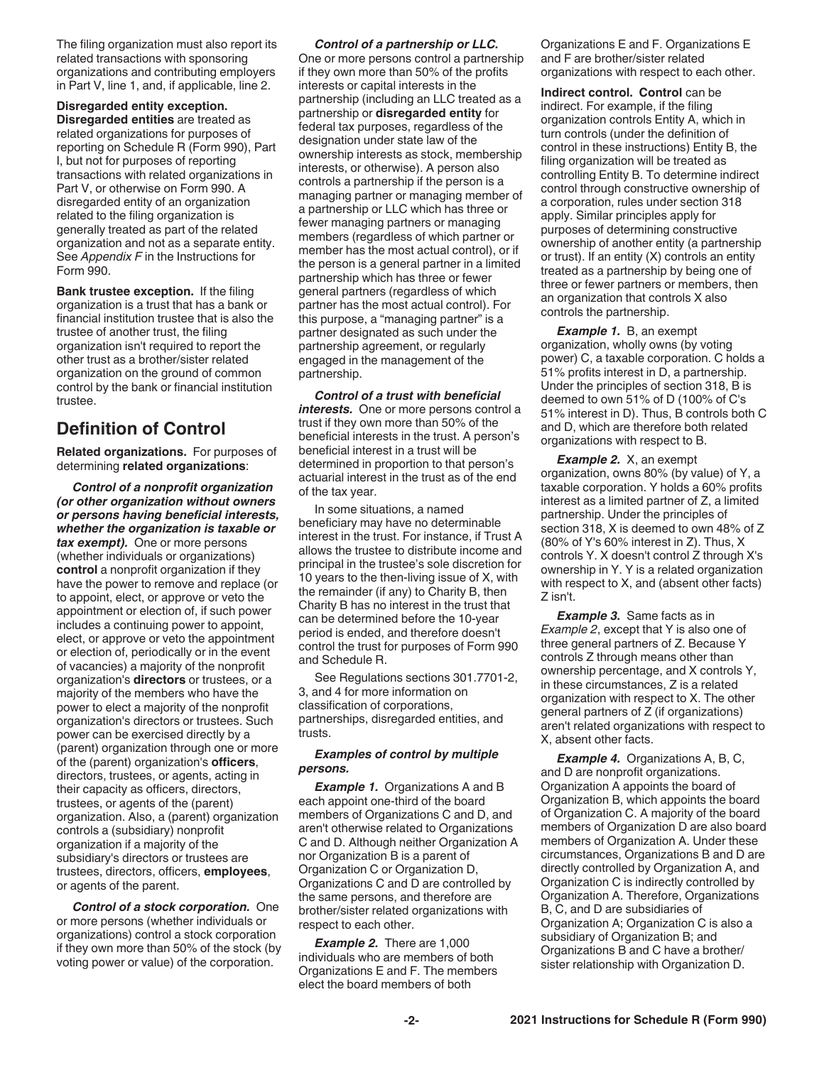The filing organization must also report its related transactions with sponsoring organizations and contributing employers in Part V, line 1, and, if applicable, line 2.

**Disregarded entity exception. Disregarded entities** are treated as related organizations for purposes of reporting on Schedule R (Form 990), Part I, but not for purposes of reporting transactions with related organizations in Part V, or otherwise on Form 990. A disregarded entity of an organization related to the filing organization is generally treated as part of the related organization and not as a separate entity. See *Appendix F* in the Instructions for Form 990.

**Bank trustee exception.** If the filing organization is a trust that has a bank or financial institution trustee that is also the trustee of another trust, the filing organization isn't required to report the other trust as a brother/sister related organization on the ground of common control by the bank or financial institution trustee.

# **Definition of Control**

**Related organizations.** For purposes of determining **related organizations**:

*Control of a nonprofit organization (or other organization without owners or persons having beneficial interests, whether the organization is taxable or tax exempt).* One or more persons (whether individuals or organizations) **control** a nonprofit organization if they have the power to remove and replace (or to appoint, elect, or approve or veto the appointment or election of, if such power includes a continuing power to appoint, elect, or approve or veto the appointment or election of, periodically or in the event of vacancies) a majority of the nonprofit organization's **directors** or trustees, or a majority of the members who have the power to elect a majority of the nonprofit organization's directors or trustees. Such power can be exercised directly by a (parent) organization through one or more of the (parent) organization's **officers**, directors, trustees, or agents, acting in their capacity as officers, directors, trustees, or agents of the (parent) organization. Also, a (parent) organization controls a (subsidiary) nonprofit organization if a majority of the subsidiary's directors or trustees are trustees, directors, officers, **employees**, or agents of the parent.

*Control of a stock corporation.* One or more persons (whether individuals or organizations) control a stock corporation if they own more than 50% of the stock (by voting power or value) of the corporation.

#### *Control of a partnership or LLC.*

One or more persons control a partnership if they own more than 50% of the profits interests or capital interests in the partnership (including an LLC treated as a partnership or **disregarded entity** for federal tax purposes, regardless of the designation under state law of the ownership interests as stock, membership interests, or otherwise). A person also controls a partnership if the person is a managing partner or managing member of a partnership or LLC which has three or fewer managing partners or managing members (regardless of which partner or member has the most actual control), or if the person is a general partner in a limited partnership which has three or fewer general partners (regardless of which partner has the most actual control). For this purpose, a "managing partner" is a partner designated as such under the partnership agreement, or regularly engaged in the management of the partnership.

*Control of a trust with beneficial interests.* One or more persons control a trust if they own more than 50% of the beneficial interests in the trust. A person's beneficial interest in a trust will be determined in proportion to that person's actuarial interest in the trust as of the end of the tax year.

In some situations, a named beneficiary may have no determinable interest in the trust. For instance, if Trust A allows the trustee to distribute income and principal in the trustee's sole discretion for 10 years to the then-living issue of X, with the remainder (if any) to Charity B, then Charity B has no interest in the trust that can be determined before the 10-year period is ended, and therefore doesn't control the trust for purposes of Form 990 and Schedule R.

See Regulations sections 301.7701-2, 3, and 4 for more information on classification of corporations, partnerships, disregarded entities, and trusts.

#### *Examples of control by multiple persons.*

**Example 1.** Organizations A and B each appoint one-third of the board members of Organizations C and D, and aren't otherwise related to Organizations C and D. Although neither Organization A nor Organization B is a parent of Organization C or Organization D, Organizations C and D are controlled by the same persons, and therefore are brother/sister related organizations with respect to each other.

*Example 2.* There are 1,000 individuals who are members of both Organizations E and F. The members elect the board members of both

Organizations E and F. Organizations E and F are brother/sister related organizations with respect to each other.

**Indirect control. Control** can be indirect. For example, if the filing organization controls Entity A, which in turn controls (under the definition of control in these instructions) Entity B, the filing organization will be treated as controlling Entity B. To determine indirect control through constructive ownership of a corporation, rules under section 318 apply. Similar principles apply for purposes of determining constructive ownership of another entity (a partnership or trust). If an entity (X) controls an entity treated as a partnership by being one of three or fewer partners or members, then an organization that controls X also controls the partnership.

*Example 1.* B, an exempt organization, wholly owns (by voting power) C, a taxable corporation. C holds a 51% profits interest in D, a partnership. Under the principles of section 318, B is deemed to own 51% of D (100% of C's 51% interest in D). Thus, B controls both C and D, which are therefore both related organizations with respect to B.

*Example 2.* X, an exempt organization, owns 80% (by value) of Y, a taxable corporation. Y holds a 60% profits interest as a limited partner of Z, a limited partnership. Under the principles of section 318, X is deemed to own 48% of Z (80% of Y's 60% interest in Z). Thus, X controls Y. X doesn't control Z through X's ownership in Y. Y is a related organization with respect to X, and (absent other facts) Z isn't.

*Example 3.* Same facts as in *Example 2*, except that Y is also one of three general partners of Z. Because Y controls Z through means other than ownership percentage, and X controls Y, in these circumstances, Z is a related organization with respect to X. The other general partners of Z (if organizations) aren't related organizations with respect to X, absent other facts.

*Example 4.* Organizations A, B, C, and D are nonprofit organizations. Organization A appoints the board of Organization B, which appoints the board of Organization C. A majority of the board members of Organization D are also board members of Organization A. Under these circumstances, Organizations B and D are directly controlled by Organization A, and Organization C is indirectly controlled by Organization A. Therefore, Organizations B, C, and D are subsidiaries of Organization A; Organization C is also a subsidiary of Organization B; and Organizations B and C have a brother/ sister relationship with Organization D.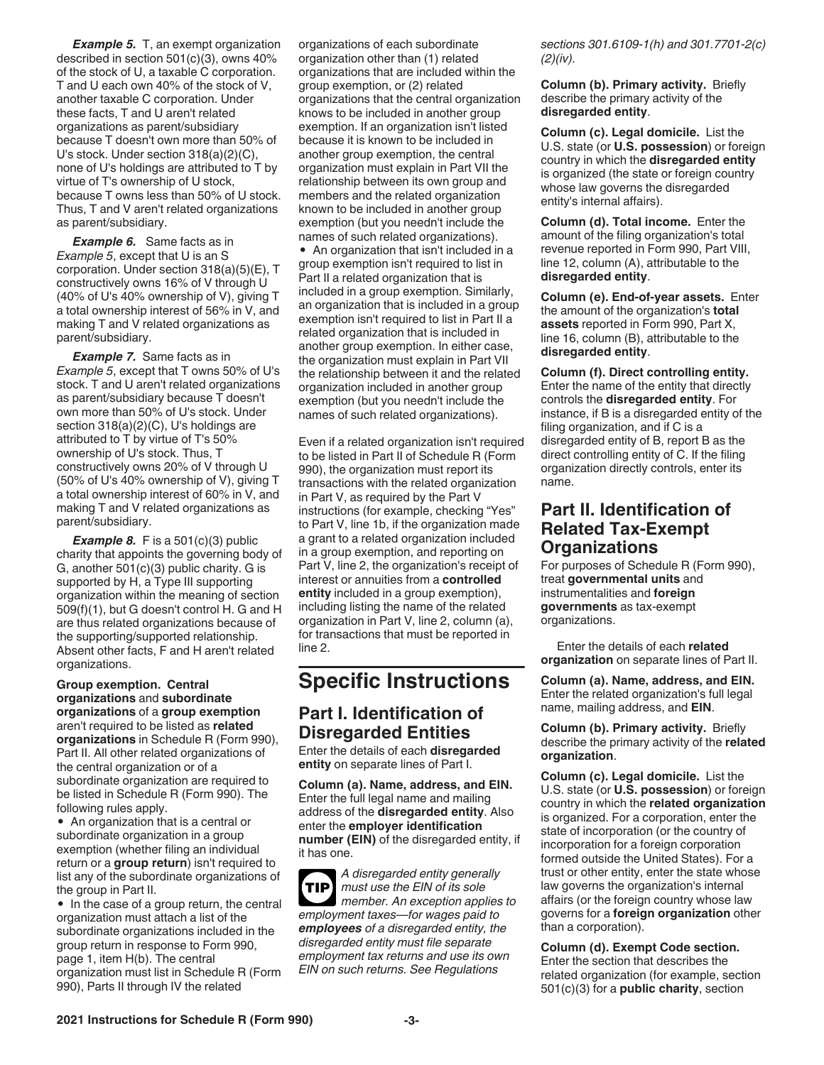*Example 5.* T, an exempt organization described in section 501(c)(3), owns 40% of the stock of U, a taxable C corporation. T and U each own 40% of the stock of V, another taxable C corporation. Under these facts, T and U aren't related organizations as parent/subsidiary because T doesn't own more than 50% of U's stock. Under section 318(a)(2)(C), none of U's holdings are attributed to T by virtue of T's ownership of U stock, because T owns less than 50% of U stock. Thus, T and V aren't related organizations as parent/subsidiary.

*Example 6.* Same facts as in *Example 5*, except that U is an S corporation. Under section 318(a)(5)(E), T constructively owns 16% of V through U (40% of U's 40% ownership of V), giving T a total ownership interest of 56% in V, and making T and V related organizations as parent/subsidiary.

*Example 7.* Same facts as in *Example 5*, except that T owns 50% of U's stock. T and U aren't related organizations as parent/subsidiary because T doesn't own more than 50% of U's stock. Under section 318(a)(2)(C), U's holdings are attributed to T by virtue of T's 50% ownership of U's stock. Thus, T constructively owns 20% of V through U (50% of U's 40% ownership of V), giving T a total ownership interest of 60% in V, and making T and V related organizations as parent/subsidiary.

**Example 8.** F is a 501(c)(3) public charity that appoints the governing body of G, another 501(c)(3) public charity. G is supported by H, a Type III supporting organization within the meaning of section 509(f)(1), but G doesn't control H. G and H are thus related organizations because of the supporting/supported relationship. Absent other facts, F and H aren't related organizations.

**Group exemption. Central organizations** and **subordinate organizations** of a **group exemption**  aren't required to be listed as **related organizations** in Schedule R (Form 990), Part II. All other related organizations of the central organization or of a subordinate organization are required to be listed in Schedule R (Form 990). The following rules apply.

• An organization that is a central or subordinate organization in a group exemption (whether filing an individual return or a **group return**) isn't required to list any of the subordinate organizations of the group in Part II.

• In the case of a group return, the central organization must attach a list of the subordinate organizations included in the group return in response to Form 990, page 1, item H(b). The central organization must list in Schedule R (Form 990), Parts II through IV the related

organizations of each subordinate organization other than (1) related organizations that are included within the group exemption, or (2) related organizations that the central organization knows to be included in another group exemption. If an organization isn't listed because it is known to be included in another group exemption, the central organization must explain in Part VII the relationship between its own group and members and the related organization known to be included in another group exemption (but you needn't include the names of such related organizations). • An organization that isn't included in a group exemption isn't required to list in Part II a related organization that is included in a group exemption. Similarly, an organization that is included in a group exemption isn't required to list in Part II a related organization that is included in another group exemption. In either case, the organization must explain in Part VII the relationship between it and the related

Even if a related organization isn't required to be listed in Part II of Schedule R (Form 990), the organization must report its transactions with the related organization in Part V, as required by the Part V instructions (for example, checking "Yes" to Part V, line 1b, if the organization made a grant to a related organization included in a group exemption, and reporting on Part V, line 2, the organization's receipt of interest or annuities from a **controlled entity** included in a group exemption), including listing the name of the related organization in Part V, line 2, column (a), for transactions that must be reported in line 2.

organization included in another group exemption (but you needn't include the names of such related organizations).

# **Specific Instructions**

### **Part I. Identification of Disregarded Entities**

Enter the details of each **disregarded entity** on separate lines of Part I.

**Column (a). Name, address, and EIN.**  Enter the full legal name and mailing address of the **disregarded entity**. Also enter the **employer identification number (EIN)** of the disregarded entity, if it has one.

*A disregarded entity generally must use the EIN of its sole member. An exception applies to employment taxes—for wages paid to employees of a disregarded entity, the disregarded entity must file separate employment tax returns and use its own EIN on such returns. See Regulations*  **TIP**

*sections 301.6109-1(h) and 301.7701-2(c) (2)(iv).*

**Column (b). Primary activity.** Briefly describe the primary activity of the **disregarded entity**.

**Column (c). Legal domicile.** List the U.S. state (or **U.S. possession**) or foreign country in which the **disregarded entity**  is organized (the state or foreign country whose law governs the disregarded entity's internal affairs).

**Column (d). Total income.** Enter the amount of the filing organization's total revenue reported in Form 990, Part VIII, line 12, column (A), attributable to the **disregarded entity**.

**Column (e). End-of-year assets.** Enter the amount of the organization's **total assets** reported in Form 990, Part X, line 16, column (B), attributable to the **disregarded entity**.

**Column (f). Direct controlling entity.**  Enter the name of the entity that directly controls the **disregarded entity**. For instance, if B is a disregarded entity of the filing organization, and if C is a disregarded entity of B, report B as the direct controlling entity of C. If the filing organization directly controls, enter its name.

# **Part II. Identification of Related Tax-Exempt Organizations**

For purposes of Schedule R (Form 990), treat **governmental units** and instrumentalities and **foreign governments** as tax-exempt organizations.

Enter the details of each **related organization** on separate lines of Part II.

**Column (a). Name, address, and EIN.**  Enter the related organization's full legal name, mailing address, and **EIN**.

**Column (b). Primary activity.** Briefly describe the primary activity of the **related organization**.

**Column (c). Legal domicile.** List the U.S. state (or **U.S. possession**) or foreign country in which the **related organization**  is organized. For a corporation, enter the state of incorporation (or the country of incorporation for a foreign corporation formed outside the United States). For a trust or other entity, enter the state whose law governs the organization's internal affairs (or the foreign country whose law governs for a **foreign organization** other than a corporation).

**Column (d). Exempt Code section.**  Enter the section that describes the related organization (for example, section 501(c)(3) for a **public charity**, section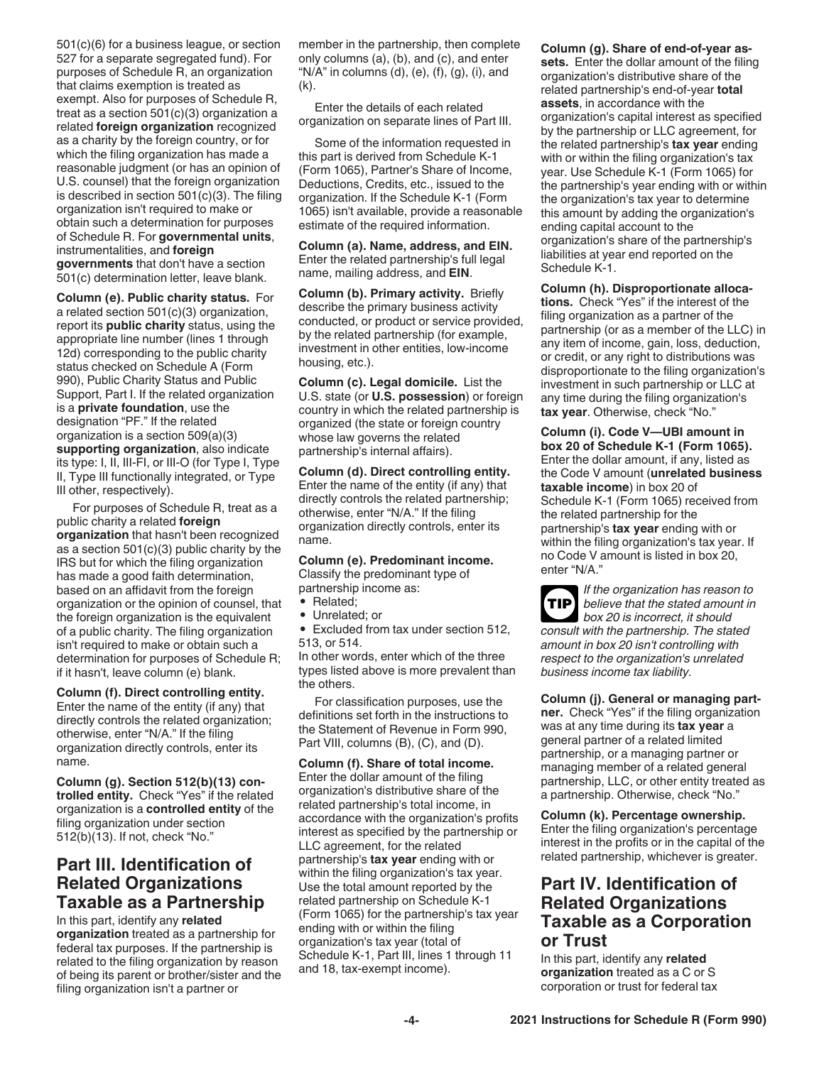501(c)(6) for a business league, or section 527 for a separate segregated fund). For purposes of Schedule R, an organization that claims exemption is treated as exempt. Also for purposes of Schedule R, treat as a section 501(c)(3) organization a related **foreign organization** recognized as a charity by the foreign country, or for which the filing organization has made a reasonable judgment (or has an opinion of U.S. counsel) that the foreign organization is described in section 501(c)(3). The filing organization isn't required to make or obtain such a determination for purposes of Schedule R. For **governmental units**, instrumentalities, and **foreign governments** that don't have a section 501(c) determination letter, leave blank.

**Column (e). Public charity status.** For a related section 501(c)(3) organization, report its **public charity** status, using the appropriate line number (lines 1 through 12d) corresponding to the public charity status checked on Schedule A (Form 990), Public Charity Status and Public Support, Part I. If the related organization is a **private foundation**, use the designation "PF." If the related organization is a section 509(a)(3) **supporting organization**, also indicate its type: I, II, III-FI, or III-O (for Type I, Type II, Type III functionally integrated, or Type III other, respectively).

For purposes of Schedule R, treat as a public charity a related **foreign organization** that hasn't been recognized as a section 501(c)(3) public charity by the IRS but for which the filing organization has made a good faith determination, based on an affidavit from the foreign organization or the opinion of counsel, that the foreign organization is the equivalent of a public charity. The filing organization isn't required to make or obtain such a determination for purposes of Schedule R; if it hasn't, leave column (e) blank.

**Column (f). Direct controlling entity.**  Enter the name of the entity (if any) that directly controls the related organization; otherwise, enter "N/A." If the filing organization directly controls, enter its name.

**Column (g). Section 512(b)(13) controlled entity.** Check "Yes" if the related organization is a **controlled entity** of the filing organization under section 512(b)(13). If not, check "No."

# **Part III. Identification of Related Organizations Taxable as a Partnership**

In this part, identify any **related organization** treated as a partnership for federal tax purposes. If the partnership is related to the filing organization by reason of being its parent or brother/sister and the filing organization isn't a partner or

member in the partnership, then complete only columns (a), (b), and (c), and enter " $N/A$ " in columns (d), (e), (f), (g), (i), and  $(k)$ .

Enter the details of each related organization on separate lines of Part III.

Some of the information requested in this part is derived from Schedule K-1 (Form 1065), Partner's Share of Income, Deductions, Credits, etc., issued to the organization. If the Schedule K-1 (Form 1065) isn't available, provide a reasonable estimate of the required information.

**Column (a). Name, address, and EIN.**  Enter the related partnership's full legal name, mailing address, and **EIN**.

**Column (b). Primary activity.** Briefly describe the primary business activity conducted, or product or service provided, by the related partnership (for example, investment in other entities, low-income housing, etc.).

**Column (c). Legal domicile.** List the U.S. state (or **U.S. possession**) or foreign country in which the related partnership is organized (the state or foreign country whose law governs the related partnership's internal affairs).

**Column (d). Direct controlling entity.**  Enter the name of the entity (if any) that directly controls the related partnership; otherwise, enter "N/A." If the filing organization directly controls, enter its name.

**Column (e). Predominant income.**  Classify the predominant type of

partnership income as: • Related;

- Unrelated; or
- Excluded from tax under section 512, 513, or 514.

In other words, enter which of the three types listed above is more prevalent than the others.

For classification purposes, use the definitions set forth in the instructions to the Statement of Revenue in Form 990, Part VIII, columns (B), (C), and (D).

#### **Column (f). Share of total income.**

Enter the dollar amount of the filing organization's distributive share of the related partnership's total income, in accordance with the organization's profits interest as specified by the partnership or LLC agreement, for the related partnership's **tax year** ending with or within the filing organization's tax year. Use the total amount reported by the related partnership on Schedule K-1 (Form 1065) for the partnership's tax year ending with or within the filing organization's tax year (total of Schedule K-1, Part III, lines 1 through 11 and 18, tax-exempt income).

**Column (g). Share of end-of-year assets.** Enter the dollar amount of the filing organization's distributive share of the related partnership's end-of-year **total assets**, in accordance with the organization's capital interest as specified by the partnership or LLC agreement, for the related partnership's **tax year** ending with or within the filing organization's tax year. Use Schedule K-1 (Form 1065) for the partnership's year ending with or within the organization's tax year to determine this amount by adding the organization's ending capital account to the organization's share of the partnership's liabilities at year end reported on the Schedule K-1.

**Column (h). Disproportionate allocations.** Check "Yes" if the interest of the filing organization as a partner of the partnership (or as a member of the LLC) in any item of income, gain, loss, deduction, or credit, or any right to distributions was disproportionate to the filing organization's investment in such partnership or LLC at any time during the filing organization's **tax year**. Otherwise, check "No."

**Column (i). Code V—UBI amount in box 20 of Schedule K-1 (Form 1065).**  Enter the dollar amount, if any, listed as the Code V amount (**unrelated business taxable income**) in box 20 of Schedule K-1 (Form 1065) received from the related partnership for the partnership's **tax year** ending with or within the filing organization's tax year. If no Code V amount is listed in box 20, enter "N/A."



*If the organization has reason to believe that the stated amount in box 20 is incorrect, it should* 

*consult with the partnership. The stated amount in box 20 isn't controlling with respect to the organization's unrelated business income tax liability.*

**Column (j). General or managing partner.** Check "Yes" if the filing organization was at any time during its **tax year** a general partner of a related limited partnership, or a managing partner or managing member of a related general partnership, LLC, or other entity treated as a partnership. Otherwise, check "No."

**Column (k). Percentage ownership.**  Enter the filing organization's percentage interest in the profits or in the capital of the related partnership, whichever is greater.

# **Part IV. Identification of Related Organizations Taxable as a Corporation or Trust**

In this part, identify any **related organization** treated as a C or S corporation or trust for federal tax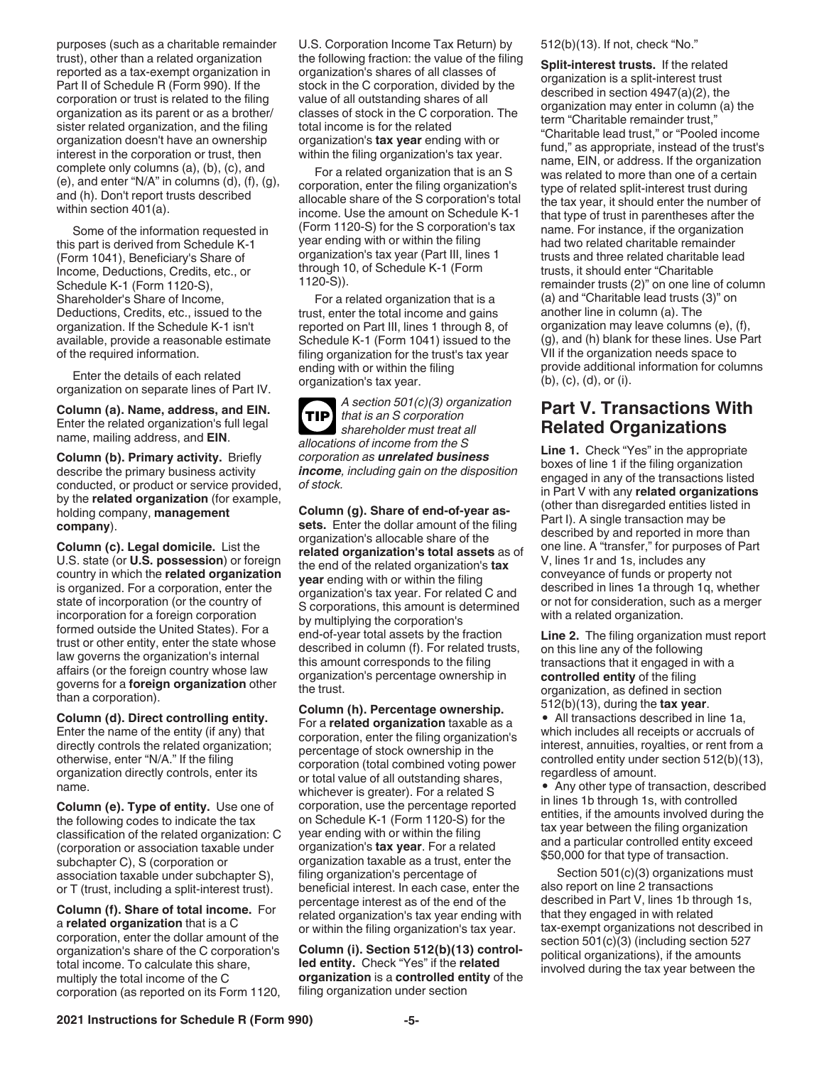purposes (such as a charitable remainder trust), other than a related organization reported as a tax-exempt organization in Part II of Schedule R (Form 990). If the corporation or trust is related to the filing organization as its parent or as a brother/ sister related organization, and the filing organization doesn't have an ownership interest in the corporation or trust, then complete only columns (a), (b), (c), and  $(e)$ , and enter "N/A" in columns  $(d)$ ,  $(f)$ ,  $(g)$ , and (h). Don't report trusts described within section 401(a).

Some of the information requested in this part is derived from Schedule K-1 (Form 1041), Beneficiary's Share of Income, Deductions, Credits, etc., or Schedule K-1 (Form 1120-S), Shareholder's Share of Income, Deductions, Credits, etc., issued to the organization. If the Schedule K-1 isn't available, provide a reasonable estimate of the required information.

Enter the details of each related organization on separate lines of Part IV.

**Column (a). Name, address, and EIN.**  Enter the related organization's full legal name, mailing address, and **EIN**.

**Column (b). Primary activity.** Briefly describe the primary business activity conducted, or product or service provided, by the **related organization** (for example, holding company, **management company**).

**Column (c). Legal domicile.** List the U.S. state (or **U.S. possession**) or foreign country in which the **related organization**  is organized. For a corporation, enter the state of incorporation (or the country of incorporation for a foreign corporation formed outside the United States). For a trust or other entity, enter the state whose law governs the organization's internal affairs (or the foreign country whose law governs for a **foreign organization** other than a corporation).

**Column (d). Direct controlling entity.**  Enter the name of the entity (if any) that directly controls the related organization; otherwise, enter "N/A." If the filing organization directly controls, enter its name.

**Column (e). Type of entity.** Use one of the following codes to indicate the tax classification of the related organization: C (corporation or association taxable under subchapter C), S (corporation or association taxable under subchapter S), or T (trust, including a split-interest trust).

**Column (f). Share of total income.** For a **related organization** that is a C corporation, enter the dollar amount of the organization's share of the C corporation's total income. To calculate this share, multiply the total income of the C corporation (as reported on its Form 1120, U.S. Corporation Income Tax Return) by the following fraction: the value of the filing organization's shares of all classes of stock in the C corporation, divided by the value of all outstanding shares of all classes of stock in the C corporation. The total income is for the related organization's **tax year** ending with or within the filing organization's tax year.

For a related organization that is an S corporation, enter the filing organization's allocable share of the S corporation's total income. Use the amount on Schedule K-1 (Form 1120-S) for the S corporation's tax year ending with or within the filing organization's tax year (Part III, lines 1 through 10, of Schedule K-1 (Form 1120-S)).

For a related organization that is a trust, enter the total income and gains reported on Part III, lines 1 through 8, of Schedule K-1 (Form 1041) issued to the filing organization for the trust's tax year ending with or within the filing organization's tax year.

*A section 501(c)(3) organization that is an S corporation shareholder must treat all allocations of income from the S corporation as unrelated business income, including gain on the disposition of stock.* **TIP**

**Column (g). Share of end-of-year assets.** Enter the dollar amount of the filing organization's allocable share of the **related organization's total assets** as of the end of the related organization's **tax year** ending with or within the filing organization's tax year. For related C and S corporations, this amount is determined by multiplying the corporation's end-of-year total assets by the fraction described in column (f). For related trusts, this amount corresponds to the filing organization's percentage ownership in the trust.

**Column (h). Percentage ownership.**  For a **related organization** taxable as a corporation, enter the filing organization's percentage of stock ownership in the corporation (total combined voting power or total value of all outstanding shares, whichever is greater). For a related S corporation, use the percentage reported on Schedule K-1 (Form 1120-S) for the year ending with or within the filing organization's **tax year**. For a related organization taxable as a trust, enter the filing organization's percentage of beneficial interest. In each case, enter the percentage interest as of the end of the related organization's tax year ending with or within the filing organization's tax year.

**Column (i). Section 512(b)(13) controlled entity.** Check "Yes" if the **related organization** is a **controlled entity** of the filing organization under section

512(b)(13). If not, check "No."

**Split-interest trusts.** If the related organization is a split-interest trust described in section 4947(a)(2), the organization may enter in column (a) the term "Charitable remainder trust," "Charitable lead trust," or "Pooled income fund," as appropriate, instead of the trust's name, EIN, or address. If the organization was related to more than one of a certain type of related split-interest trust during the tax year, it should enter the number of that type of trust in parentheses after the name. For instance, if the organization had two related charitable remainder trusts and three related charitable lead trusts, it should enter "Charitable remainder trusts (2)" on one line of column (a) and "Charitable lead trusts (3)" on another line in column (a). The organization may leave columns (e), (f), (g), and (h) blank for these lines. Use Part VII if the organization needs space to provide additional information for columns (b), (c), (d), or (i).

# **Part V. Transactions With Related Organizations**

**Line 1.** Check "Yes" in the appropriate boxes of line 1 if the filing organization engaged in any of the transactions listed in Part V with any **related organizations**  (other than disregarded entities listed in Part I). A single transaction may be described by and reported in more than one line. A "transfer," for purposes of Part V, lines 1r and 1s, includes any conveyance of funds or property not described in lines 1a through 1q, whether or not for consideration, such as a merger with a related organization.

**Line 2.** The filing organization must report on this line any of the following transactions that it engaged in with a **controlled entity** of the filing organization, as defined in section 512(b)(13), during the **tax year**.

• All transactions described in line 1a, which includes all receipts or accruals of interest, annuities, royalties, or rent from a controlled entity under section 512(b)(13), regardless of amount.

• Any other type of transaction, described in lines 1b through 1s, with controlled entities, if the amounts involved during the tax year between the filing organization and a particular controlled entity exceed \$50,000 for that type of transaction.

Section 501(c)(3) organizations must also report on line 2 transactions described in Part V, lines 1b through 1s, that they engaged in with related tax-exempt organizations not described in section 501(c)(3) (including section 527 political organizations), if the amounts involved during the tax year between the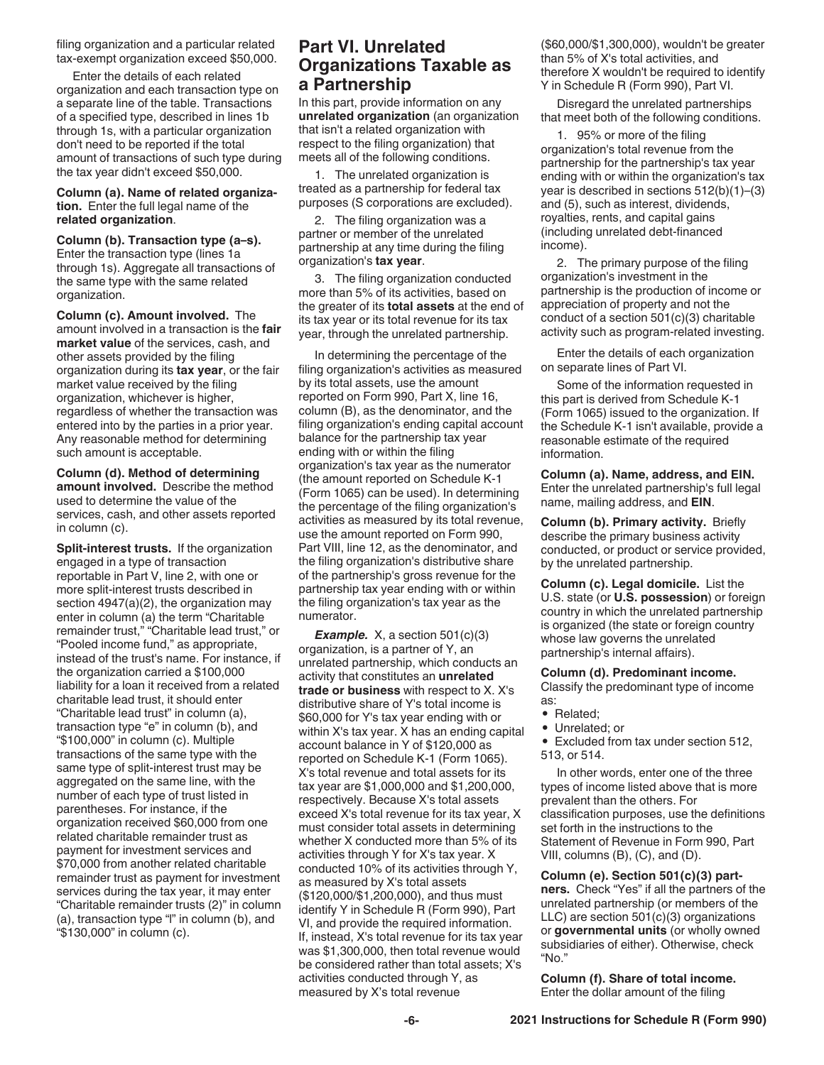filing organization and a particular related tax-exempt organization exceed \$50,000.

Enter the details of each related organization and each transaction type on a separate line of the table. Transactions of a specified type, described in lines 1b through 1s, with a particular organization don't need to be reported if the total amount of transactions of such type during the tax year didn't exceed \$50,000.

**Column (a). Name of related organization.** Enter the full legal name of the **related organization**.

**Column (b). Transaction type (a–s).**  Enter the transaction type (lines 1a through 1s). Aggregate all transactions of the same type with the same related organization.

**Column (c). Amount involved.** The amount involved in a transaction is the **fair market value** of the services, cash, and other assets provided by the filing organization during its **tax year**, or the fair market value received by the filing organization, whichever is higher, regardless of whether the transaction was entered into by the parties in a prior year. Any reasonable method for determining such amount is acceptable.

**Column (d). Method of determining amount involved.** Describe the method used to determine the value of the services, cash, and other assets reported in column (c).

**Split-interest trusts.** If the organization engaged in a type of transaction reportable in Part V, line 2, with one or more split-interest trusts described in section 4947(a)(2), the organization may enter in column (a) the term "Charitable remainder trust," "Charitable lead trust," or "Pooled income fund," as appropriate, instead of the trust's name. For instance, if the organization carried a \$100,000 liability for a loan it received from a related charitable lead trust, it should enter "Charitable lead trust" in column (a), transaction type "e" in column (b), and "\$100,000" in column (c). Multiple transactions of the same type with the same type of split-interest trust may be aggregated on the same line, with the number of each type of trust listed in parentheses. For instance, if the organization received \$60,000 from one related charitable remainder trust as payment for investment services and \$70,000 from another related charitable remainder trust as payment for investment services during the tax year, it may enter "Charitable remainder trusts (2)" in column (a), transaction type "l" in column (b), and "\$130,000" in column (c).

#### **Part VI. Unrelated Organizations Taxable as a Partnership**

In this part, provide information on any **unrelated organization** (an organization that isn't a related organization with respect to the filing organization) that meets all of the following conditions.

1. The unrelated organization is treated as a partnership for federal tax purposes (S corporations are excluded).

2. The filing organization was a partner or member of the unrelated partnership at any time during the filing organization's **tax year**.

3. The filing organization conducted more than 5% of its activities, based on the greater of its **total assets** at the end of its tax year or its total revenue for its tax year, through the unrelated partnership.

In determining the percentage of the filing organization's activities as measured by its total assets, use the amount reported on Form 990, Part X, line 16, column (B), as the denominator, and the filing organization's ending capital account balance for the partnership tax year ending with or within the filing organization's tax year as the numerator (the amount reported on Schedule K-1 (Form 1065) can be used). In determining the percentage of the filing organization's activities as measured by its total revenue, use the amount reported on Form 990, Part VIII, line 12, as the denominator, and the filing organization's distributive share of the partnership's gross revenue for the partnership tax year ending with or within the filing organization's tax year as the numerator.

*Example.* X, a section 501(c)(3) organization, is a partner of Y, an unrelated partnership, which conducts an activity that constitutes an **unrelated trade or business** with respect to X. X's distributive share of Y's total income is \$60,000 for Y's tax year ending with or within X's tax year. X has an ending capital account balance in Y of \$120,000 as reported on Schedule K-1 (Form 1065). X's total revenue and total assets for its tax year are \$1,000,000 and \$1,200,000, respectively. Because X's total assets exceed X's total revenue for its tax year, X must consider total assets in determining whether X conducted more than 5% of its activities through Y for X's tax year. X conducted 10% of its activities through Y, as measured by X's total assets (\$120,000/\$1,200,000), and thus must identify Y in Schedule R (Form 990), Part VI, and provide the required information. If, instead, X's total revenue for its tax year was \$1,300,000, then total revenue would be considered rather than total assets; X's activities conducted through Y, as measured by X's total revenue

(\$60,000/\$1,300,000), wouldn't be greater than 5% of X's total activities, and therefore X wouldn't be required to identify Y in Schedule R (Form 990), Part VI.

Disregard the unrelated partnerships that meet both of the following conditions.

1. 95% or more of the filing organization's total revenue from the partnership for the partnership's tax year ending with or within the organization's tax year is described in sections 512(b)(1)–(3) and (5), such as interest, dividends, royalties, rents, and capital gains (including unrelated debt-financed income).

2. The primary purpose of the filing organization's investment in the partnership is the production of income or appreciation of property and not the conduct of a section 501(c)(3) charitable activity such as program-related investing.

Enter the details of each organization on separate lines of Part VI.

Some of the information requested in this part is derived from Schedule K-1 (Form 1065) issued to the organization. If the Schedule K-1 isn't available, provide a reasonable estimate of the required information.

**Column (a). Name, address, and EIN.**  Enter the unrelated partnership's full legal name, mailing address, and **EIN**.

**Column (b). Primary activity.** Briefly describe the primary business activity conducted, or product or service provided, by the unrelated partnership.

**Column (c). Legal domicile.** List the U.S. state (or **U.S. possession**) or foreign country in which the unrelated partnership is organized (the state or foreign country whose law governs the unrelated partnership's internal affairs).

#### **Column (d). Predominant income.**

Classify the predominant type of income as:

- Related;
- Unrelated; or

• Excluded from tax under section 512, 513, or 514.

In other words, enter one of the three types of income listed above that is more prevalent than the others. For classification purposes, use the definitions set forth in the instructions to the Statement of Revenue in Form 990, Part VIII, columns (B), (C), and (D).

**Column (e). Section 501(c)(3) partners.** Check "Yes" if all the partners of the unrelated partnership (or members of the LLC) are section 501(c)(3) organizations or **governmental units** (or wholly owned subsidiaries of either). Otherwise, check "No."

**Column (f). Share of total income.**  Enter the dollar amount of the filing